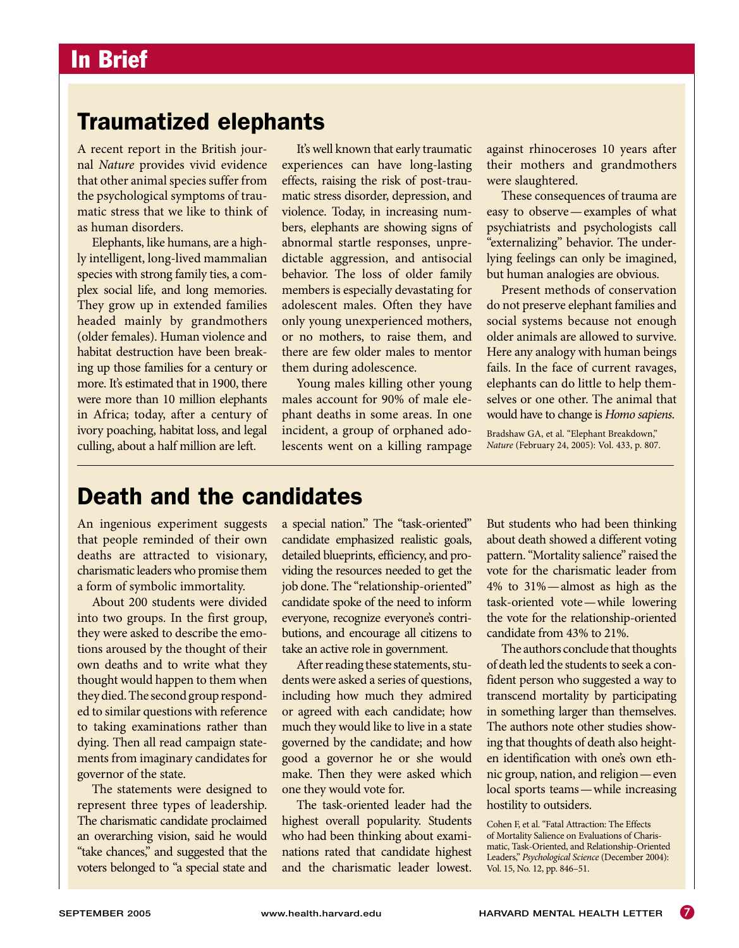## Traumatized elephants

A recent report in the British journal *Nature* provides vivid evidence that other animal species suffer from the psychological symptoms of traumatic stress that we like to think of as human disorders. The surveillance of the surveillance of the surveillance of the surveillance of the surveil

Elephants, like humans, are a highly intelligent, long-lived mammalian species with strong family ties, a complex social life, and long memories. They grow up in extended families headed mainly by grandmothers (older females). Human violence and habitat destruction have been breaking up those families for a century or more. It's estimated that in 1900, there were more than 10 million elephants in Africa; today, after a century of ivory poaching, habitat loss, and legal culling, about a half million are left.

It's well known that early traumatic experiences can have long-lasting offects raising the risk of nost to effects, raising the risk of post-traumatic stress disorder, depression, and violence. Today, in increasing numbers, elephants are showing signs of  $\frac{1}{100}$  the U.S. Nonabnormal startle responses, unpredictable aggression, and antisocial behavior. The loss of older family members is especially devastating for adolescent males. Often they have only young unexperienced mothers, or no mothers, to raise them, and there are few older males to mentor them during adolescence.

Young males killing other young males account for 90% of male elephant deaths in some areas. In one incident, a group of orphaned adolescents went on a killing rampage

 $19.993$  mortality and  $19.993$  mortality  $\theta$ against rhinoceroses 10 years after 963–66. their mothers and grandmothers were slaughtered.

These consequences of trauma are easy to observe—examples of what psychiatrists and psychologists call "externalizing" behavior. The underlying feelings can only be imagined, but human analogies are obvious.

Present methods of conservation do not preserve elephant families and social systems because not enough older animals are allowed to survive. Here any analogy with human beings fails. In the face of current ravages, elephants can do little to help themselves or one other. The animal that would have to change is *Homo sapiens*.

Bradshaw GA, et al. "Elephant Breakdown," *Nature* (February 24, 2005): Vol. 433, p. 807.

## Death and the candidates

An ingenious experiment suggests that people reminded of their own deaths are attracted to visionary, charismatic leaders who promise them a form of symbolic immortality.

About 200 students were divided into two groups. In the first group, they were asked to describe the emotions aroused by the thought of their own deaths and to write what they thought would happen to them when they died. The second group responded to similar questions with reference to taking examinations rather than dying. Then all read campaign statements from imaginary candidates for governor of the state.

The statements were designed to represent three types of leadership. The charismatic candidate proclaimed an overarching vision, said he would "take chances," and suggested that the voters belonged to "a special state and a special nation." The "task-oriented" candidate emphasized realistic goals, detailed blueprints, efficiency, and providing the resources needed to get the job done. The "relationship-oriented" candidate spoke of the need to inform everyone, recognize everyone's contributions, and encourage all citizens to take an active role in government.

After reading these statements, students were asked a series of questions, including how much they admired or agreed with each candidate; how much they would like to live in a state governed by the candidate; and how good a governor he or she would make. Then they were asked which one they would vote for.

The task-oriented leader had the highest overall popularity. Students who had been thinking about examinations rated that candidate highest and the charismatic leader lowest.

But students who had been thinking about death showed a different voting pattern. "Mortality salience" raised the vote for the charismatic leader from 4% to 31%—almost as high as the task-oriented vote—while lowering the vote for the relationship-oriented candidate from 43% to 21%.

The authors conclude that thoughts of death led the students to seek a confident person who suggested a way to transcend mortality by participating in something larger than themselves. The authors note other studies showing that thoughts of death also heighten identification with one's own ethnic group, nation, and religion—even local sports teams—while increasing hostility to outsiders.

Cohen F, et al. "Fatal Attraction: The Effects of Mortality Salience on Evaluations of Charismatic, Task-Oriented, and Relationship-Oriented Leaders," *Psychological Science* (December 2004): Vol. 15, No. 12, pp. 846–51.